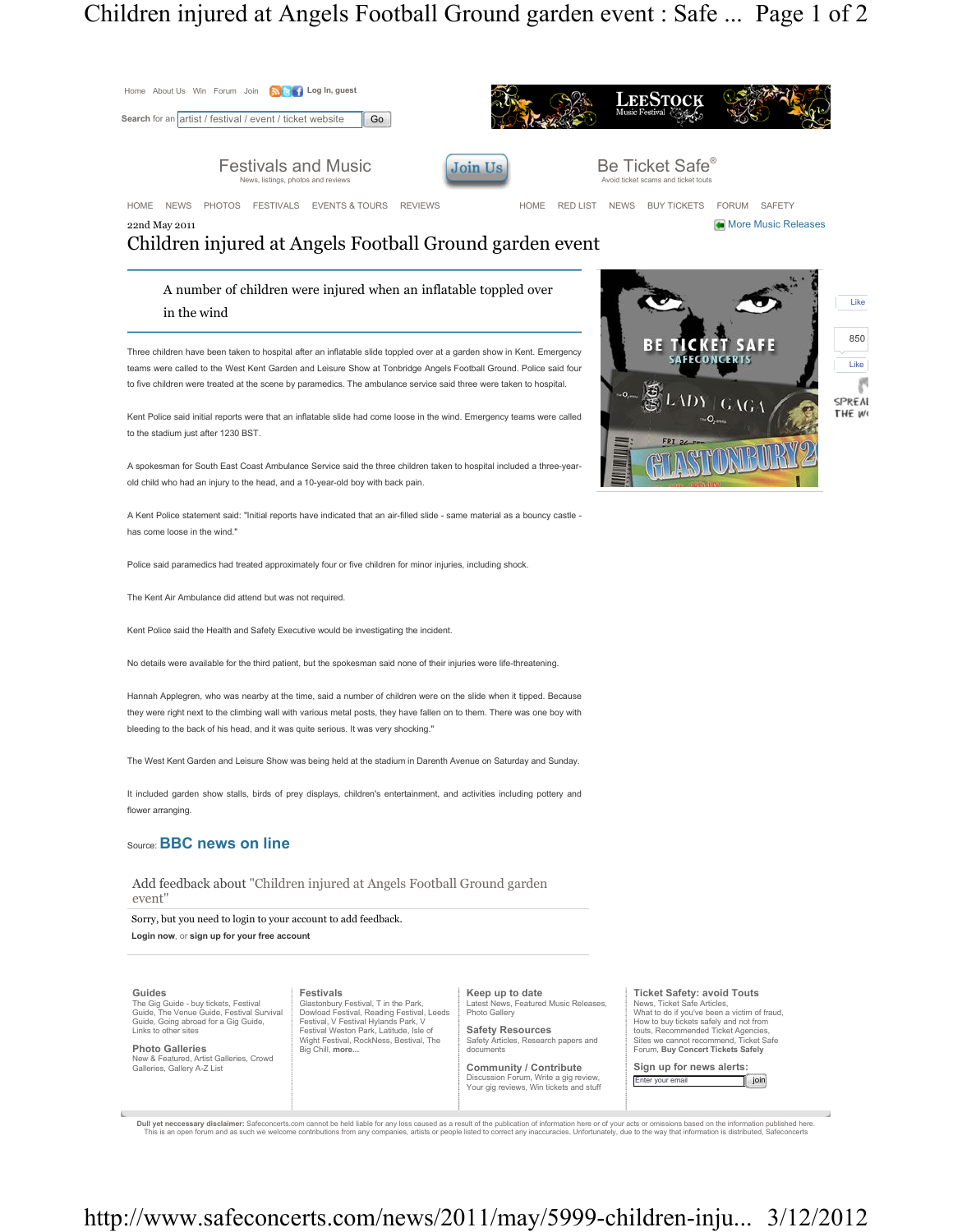## Children injured at Angels Football Ground garden event : Safe ... Page 1 of 2



Dull yet neccessary disclaimer: Safeconcerts.com cannot be held liable for any loss caused as a result of the publication of information here or of your acts or omissions based on the information is distributed, Safeconcer

## http://www.safeconcerts.com/news/2011/may/5999-children-inju... 3/12/2012